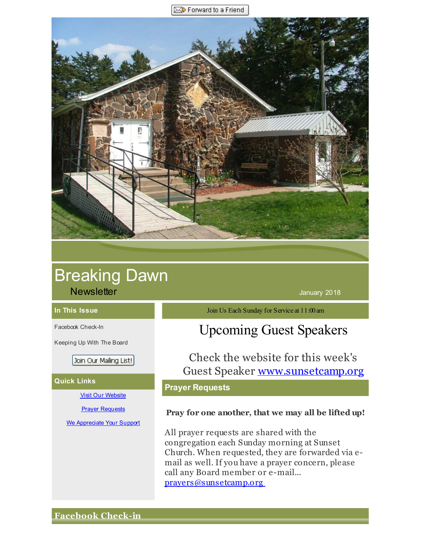Forward to a Friend

<span id="page-0-0"></span>

# Breaking Dawn

**Newsletter January 2018** 

#### **In This Issue**

[Facebook](#page-0-0) Check-In

[Keeping](#page-0-0) Up With The Board

Join Our Mailing List!

#### **Quick Links**

Visit Our [Website](http://r20.rs6.net/tn.jsp?f=001D5quDF-xeyPCkrb3hw_z8rv9h6Xsnr0K4di_TSrnRBSjxLYAuRewMhbVfXpOL-ZHn2-bkWU_DkiIOSTwQxIdBtH4tLKQXvYSWc-Zn1ERiJAyVxeXN3RDeRxGzKE84UW4o22kVRlYKYu6fW1M21f82obclVp68SNpN-Q1ULtdYB9BRlhzlMPAZA==&c=&ch=)

#### Prayer [Requests](http://r20.rs6.net/tn.jsp?f=001D5quDF-xeyPCkrb3hw_z8rv9h6Xsnr0K4di_TSrnRBSjxLYAuRewMl_1_cVOfbsR3MzbwFv2J9_O4M_nW8hT8GgECLSEJpdRAww1oqT0HmiQiUGUy-LJjJRtk-WNaDrJkqLGyaZ2xb3BW29WpwL3S6EAqd1bU1RZdJZIfoMCF1a9gVf_wiYKAauB9ur0mhieMCVRXMXu3Ho=&c=&ch=)

We [Appreciate](http://r20.rs6.net/tn.jsp?f=001D5quDF-xeyPCkrb3hw_z8rv9h6Xsnr0K4di_TSrnRBSjxLYAuRewMsdtxlE81IejVULTwOXYSSR4cvmkr28i-QNjPbIWZhnt-S7G24gihA-_4AcKYOSnMfMziigsz9osClZYPUXtFZUvPw2eBL_ytOQ81eMdInXkFw0wQjlT8asr4MmmgJMZHlGWk7dvPNmyyCP1FXX9-xQ=&c=&ch=) Your Support

Join Us Each Sunday for Service at 11:00am

## Upcoming Guest Speakers

Check the website for this week's Guest Speaker [www.sunsetcamp.org](http://r20.rs6.net/tn.jsp?f=001D5quDF-xeyPCkrb3hw_z8rv9h6Xsnr0K4di_TSrnRBSjxLYAuRewMqjkVbTBDmSYRtMAs11b0fVvICSlTfBbxGADI7CE-3dQ3qEdBheEUG1d577blw1Ki-Noe8TYT0Xi80AimE_m9CKYxphZ9ISwSxOecktkKES1S1eY8QREncM=&c=&ch=)

## **Prayer Requests**

#### **Pray for one another, that we may all be lifted up!**

All prayer requests are shared with the congregation each Sunday morning at Sunset Church. When requested, they are forwarded via email as well. If you have a prayer concern, please call any Board member or e-mail... [prayers@sunsetcamp.org](http://r20.rs6.net/tn.jsp?f=001D5quDF-xeyPCkrb3hw_z8rv9h6Xsnr0K4di_TSrnRBSjxLYAuRewMqHocM7fM_uU3K8j3igIv0vNRRXhO4BfOI-TXc6Fc-pEQlp9yUOiiFs9ufPdrbcTLGWdt6kbdXds1oxcKW3OClNbTIYwrJjqJAZBd4zcuuuWtgW_sS9ebKHazJ9wcmqb_Nna_FcIZXdFjStnylKr7d2Zr-rMuPBZTBBmvry3wYi0j98S9ysoYZ2KCB4uM6eZijqnPm8kNPNex4bQtmkUqAA=&c=&ch=)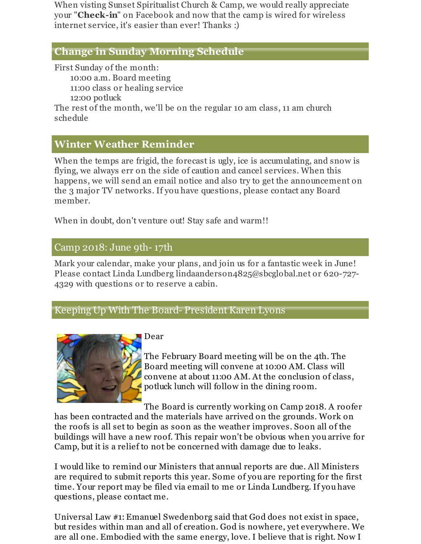When visting Sunset Spiritualist Church & Camp, we would really appreciate your "**Check-in**" on Facebook and now that the camp is wired for wireless internet service, it's easier than ever! Thanks :)

## **Change in Sunday Morning Schedule**

First Sunday of the month:

10:00 a.m. Board meeting 11:00 class or healing service

12:00 potluck

The rest of the month, we'll be on the regular 10 am class, 11 am church schedule

## **Winter Weather Reminder**

When the temps are frigid, the forecast is ugly, ice is accumulating, and snow is flying, we always err on the side of caution and cancel services. When this happens, we will send an email notice and also try to get the announcement on the 3 major TV networks. If you have questions, please contact any Board member.

When in doubt, don't venture out! Stay safe and warm!!

## Camp 2018: June 9th- 17th

Mark your calendar, make your plans, and join us for a fantastic week in June! Please contact Linda Lundberg lindaanderson4825@sbcglobal.net or 620-727- 4329 with questions or to reserve a cabin.

## Keeping Up With The Board- President Karen Lyons



## Dear

The February Board meeting will be on the 4th. The Board meeting will convene at 10:00 AM. Class will convene at about 11:00 AM. At the conclusion of class, potluck lunch will follow in the dining room.

The Board is currently working on Camp 2018. A roofer has been contracted and the materials have arrived on the grounds. Work on the roofs is all set to begin as soon as the weather improves. Soon all of the buildings will have a new roof. This repair won't be obvious when you arrive for Camp, but it is a relief to not be concerned with damage due to leaks.

I would like to remind our Ministers that annual reports are due. All Ministers are required to submit reports this year. Some of you are reporting for the first time. Your report may be filed via email to me or Linda Lundberg. If you have questions, please contact me.

Universal Law #1: Emanuel Swedenborg said that God does not exist in space, but resides within man and all of creation. God is nowhere, yet everywhere. We are all one. Embodied with the same energy, love. I believe that is right. Now I